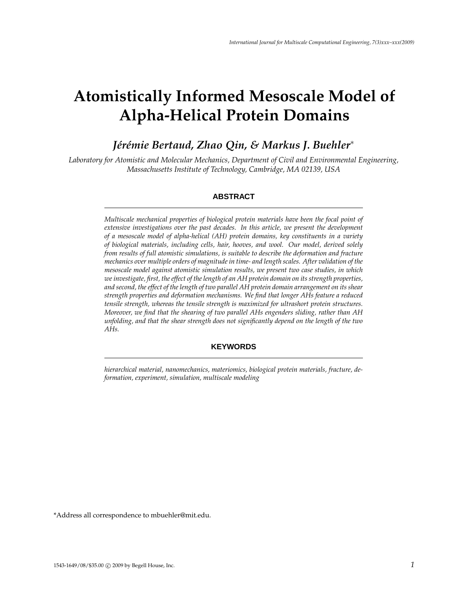# **Atomistically Informed Mesoscale Model of Alpha-Helical Protein Domains**

# *Jérémie Bertaud, Zhao Qin, & Markus J. Buehler<sup>\*</sup>*

*Laboratory for Atomistic and Molecular Mechanics, Department of Civil and Environmental Engineering, Massachusetts Institute of Technology, Cambridge, MA 02139, USA*

# **ABSTRACT**

*Multiscale mechanical properties of biological protein materials have been the focal point of extensive investigations over the past decades. In this article, we present the development of a mesoscale model of alpha-helical (AH) protein domains, key constituents in a variety of biological materials, including cells, hair, hooves, and wool. Our model, derived solely from results of full atomistic simulations, is suitable to describe the deformation and fracture mechanics over multiple orders of magnitude in time- and length scales. After validation of the mesoscale model against atomistic simulation results, we present two case studies, in which we investigate, first, the effect of the length of an AH protein domain on its strength properties, and second, the effect of the length of two parallel AH protein domain arrangement on its shear strength properties and deformation mechanisms. We find that longer AHs feature a reduced tensile strength, whereas the tensile strength is maximized for ultrashort protein structures. Moreover, we find that the shearing of two parallel AHs engenders sliding, rather than AH unfolding, and that the shear strength does not significantly depend on the length of the two AHs.*

# **KEYWORDS**

*hierarchical material, nanomechanics, materiomics, biological protein materials, fracture, deformation, experiment, simulation, multiscale modeling*

\*Address all correspondence to mbuehler@mit.edu.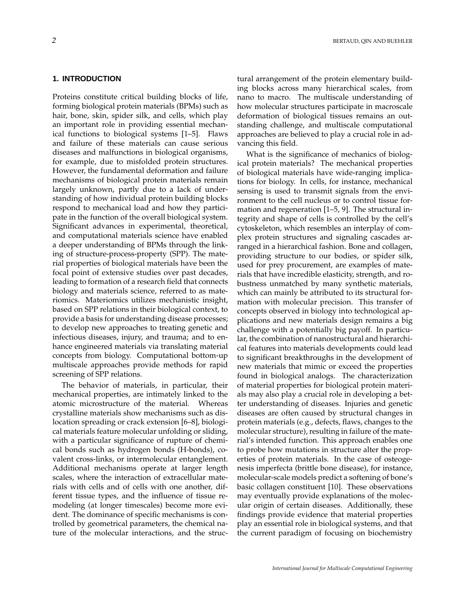# **1. INTRODUCTION**

Proteins constitute critical building blocks of life, forming biological protein materials (BPMs) such as hair, bone, skin, spider silk, and cells, which play an important role in providing essential mechanical functions to biological systems [1–5]. Flaws and failure of these materials can cause serious diseases and malfunctions in biological organisms, for example, due to misfolded protein structures. However, the fundamental deformation and failure mechanisms of biological protein materials remain largely unknown, partly due to a lack of understanding of how individual protein building blocks respond to mechanical load and how they participate in the function of the overall biological system. Significant advances in experimental, theoretical, and computational materials science have enabled a deeper understanding of BPMs through the linking of structure-process-property (SPP). The material properties of biological materials have been the focal point of extensive studies over past decades, leading to formation of a research field that connects biology and materials science, referred to as materiomics. Materiomics utilizes mechanistic insight, based on SPP relations in their biological context, to provide a basis for understanding disease processes; to develop new approaches to treating genetic and infectious diseases, injury, and trauma; and to enhance engineered materials via translating material concepts from biology. Computational bottom-up multiscale approaches provide methods for rapid screening of SPP relations.

The behavior of materials, in particular, their mechanical properties, are intimately linked to the atomic microstructure of the material. Whereas crystalline materials show mechanisms such as dislocation spreading or crack extension [6–8], biological materials feature molecular unfolding or sliding, with a particular significance of rupture of chemical bonds such as hydrogen bonds (H-bonds), covalent cross-links, or intermolecular entanglement. Additional mechanisms operate at larger length scales, where the interaction of extracellular materials with cells and of cells with one another, different tissue types, and the influence of tissue remodeling (at longer timescales) become more evident. The dominance of specific mechanisms is controlled by geometrical parameters, the chemical nature of the molecular interactions, and the structural arrangement of the protein elementary building blocks across many hierarchical scales, from nano to macro. The multiscale understanding of how molecular structures participate in macroscale deformation of biological tissues remains an outstanding challenge, and multiscale computational approaches are believed to play a crucial role in advancing this field.

What is the significance of mechanics of biological protein materials? The mechanical properties of biological materials have wide-ranging implications for biology. In cells, for instance, mechanical sensing is used to transmit signals from the environment to the cell nucleus or to control tissue formation and regeneration [1–5, 9]. The structural integrity and shape of cells is controlled by the cell's cytoskeleton, which resembles an interplay of complex protein structures and signaling cascades arranged in a hierarchical fashion. Bone and collagen, providing structure to our bodies, or spider silk, used for prey procurement, are examples of materials that have incredible elasticity, strength, and robustness unmatched by many synthetic materials, which can mainly be attributed to its structural formation with molecular precision. This transfer of concepts observed in biology into technological applications and new materials design remains a big challenge with a potentially big payoff. In particular, the combination of nanostructural and hierarchical features into materials developments could lead to significant breakthroughs in the development of new materials that mimic or exceed the properties found in biological analogs. The characterization of material properties for biological protein materials may also play a crucial role in developing a better understanding of diseases. Injuries and genetic diseases are often caused by structural changes in protein materials (e.g., defects, flaws, changes to the molecular structure), resulting in failure of the material's intended function. This approach enables one to probe how mutations in structure alter the properties of protein materials. In the case of osteogenesis imperfecta (brittle bone disease), for instance, molecular-scale models predict a softening of bone's basic collagen constituent [10]. These observations may eventually provide explanations of the molecular origin of certain diseases. Additionally, these findings provide evidence that material properties play an essential role in biological systems, and that the current paradigm of focusing on biochemistry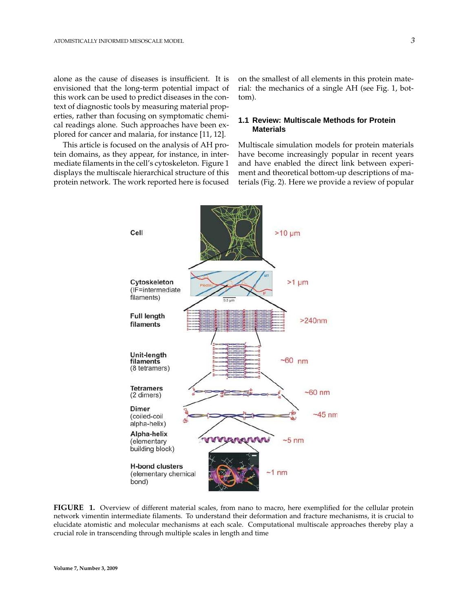alone as the cause of diseases is insufficient. It is envisioned that the long-term potential impact of this work can be used to predict diseases in the context of diagnostic tools by measuring material properties, rather than focusing on symptomatic chemical readings alone. Such approaches have been explored for cancer and malaria, for instance [11, 12].

This article is focused on the analysis of AH protein domains, as they appear, for instance, in intermediate filaments in the cell's cytoskeleton. Figure 1 displays the multiscale hierarchical structure of this protein network. The work reported here is focused on the smallest of all elements in this protein material: the mechanics of a single AH (see Fig. 1, bottom).

# **1.1 Review: Multiscale Methods for Protein Materials**

Multiscale simulation models for protein materials have become increasingly popular in recent years and have enabled the direct link between experiment and theoretical bottom-up descriptions of materials (Fig. 2). Here we provide a review of popular



**FIGURE 1.** Overview of different material scales, from nano to macro, here exemplified for the cellular protein network vimentin intermediate filaments. To understand their deformation and fracture mechanisms, it is crucial to elucidate atomistic and molecular mechanisms at each scale. Computational multiscale approaches thereby play a crucial role in transcending through multiple scales in length and time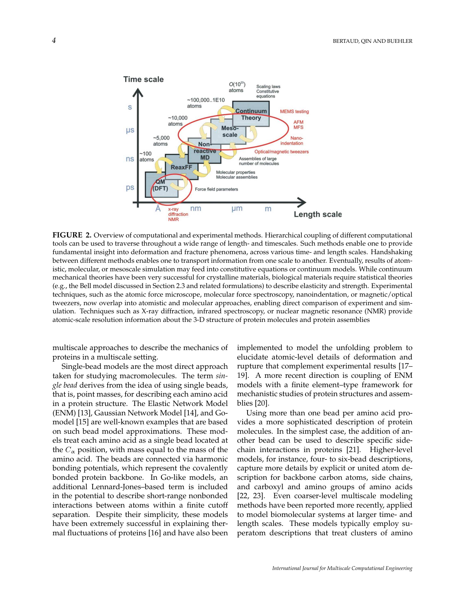

**FIGURE 2.** Overview of computational and experimental methods. Hierarchical coupling of different computational tools can be used to traverse throughout a wide range of length- and timescales. Such methods enable one to provide fundamental insight into deformation and fracture phenomena, across various time- and length scales. Handshaking between different methods enables one to transport information from one scale to another. Eventually, results of atomistic, molecular, or mesoscale simulation may feed into constitutive equations or continuum models. While continuum mechanical theories have been very successful for crystalline materials, biological materials require statistical theories (e.g., the Bell model discussed in Section 2.3 and related formulations) to describe elasticity and strength. Experimental techniques, such as the atomic force microscope, molecular force spectroscopy, nanoindentation, or magnetic/optical tweezers, now overlap into atomistic and molecular approaches, enabling direct comparison of experiment and simulation. Techniques such as X-ray diffraction, infrared spectroscopy, or nuclear magnetic resonance (NMR) provide atomic-scale resolution information about the 3-D structure of protein molecules and protein assemblies

multiscale approaches to describe the mechanics of proteins in a multiscale setting.

Single-bead models are the most direct approach taken for studying macromolecules. The term *single bead* derives from the idea of using single beads, that is, point masses, for describing each amino acid in a protein structure. The Elastic Network Model (ENM) [13], Gaussian Network Model [14], and Gomodel [15] are well-known examples that are based on such bead model approximations. These models treat each amino acid as a single bead located at the  $C_{\alpha}$  position, with mass equal to the mass of the amino acid. The beads are connected via harmonic bonding potentials, which represent the covalently bonded protein backbone. In Go-like models, an additional Lennard-Jones–based term is included in the potential to describe short-range nonbonded interactions between atoms within a finite cutoff separation. Despite their simplicity, these models have been extremely successful in explaining thermal fluctuations of proteins [16] and have also been implemented to model the unfolding problem to elucidate atomic-level details of deformation and rupture that complement experimental results [17– 19]. A more recent direction is coupling of ENM models with a finite element–type framework for mechanistic studies of protein structures and assemblies [20].

Using more than one bead per amino acid provides a more sophisticated description of protein molecules. In the simplest case, the addition of another bead can be used to describe specific sidechain interactions in proteins [21]. Higher-level models, for instance, four- to six-bead descriptions, capture more details by explicit or united atom description for backbone carbon atoms, side chains, and carboxyl and amino groups of amino acids [22, 23]. Even coarser-level multiscale modeling methods have been reported more recently, applied to model biomolecular systems at larger time- and length scales. These models typically employ superatom descriptions that treat clusters of amino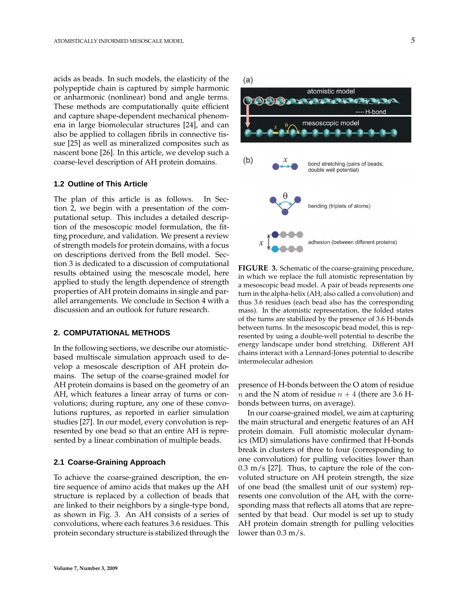acids as beads. In such models, the elasticity of the polypeptide chain is captured by simple harmonic or anharmonic (nonlinear) bond and angle terms. These methods are computationally quite efficient and capture shape-dependent mechanical phenomena in large biomolecular structures [24], and can also be applied to collagen fibrils in connective tissue [25] as well as mineralized composites such as nascent bone [26]. In this article, we develop such a coarse-level description of AH protein domains.

## **1.2 Outline of This Article**

The plan of this article is as follows. In Section 2, we begin with a presentation of the computational setup. This includes a detailed description of the mesoscopic model formulation, the fitting procedure, and validation. We present a review of strength models for protein domains, with a focus on descriptions derived from the Bell model. Section 3 is dedicated to a discussion of computational results obtained using the mesoscale model, here applied to study the length dependence of strength properties of AH protein domains in single and parallel arrangements. We conclude in Section 4 with a discussion and an outlook for future research.

# **2. COMPUTATIONAL METHODS**

In the following sections, we describe our atomisticbased multiscale simulation approach used to develop a mesoscale description of AH protein domains. The setup of the coarse-grained model for AH protein domains is based on the geometry of an AH, which features a linear array of turns or convolutions; during rupture, any one of these convolutions ruptures, as reported in earlier simulation studies [27]. In our model, every convolution is represented by one bead so that an entire AH is represented by a linear combination of multiple beads.

#### **2.1 Coarse-Graining Approach**

To achieve the coarse-grained description, the entire sequence of amino acids that makes up the AH structure is replaced by a collection of beads that are linked to their neighbors by a single-type bond, as shown in Fig. 3. An AH consists of a series of convolutions, where each features 3.6 residues. This protein secondary structure is stabilized through the  $(a)$ 



**FIGURE 3.** Schematic of the coarse-graining procedure, in which we replace the full atomistic representation by a mesoscopic bead model. A pair of beads represents one turn in the alpha-helix (AH; also called a convolution) and thus 3.6 residues (each bead also has the corresponding mass). In the atomistic representation, the folded states of the turns are stabilized by the presence of 3.6 H-bonds between turns. In the mesoscopic bead model, this is represented by using a double-well potential to describe the energy landscape under bond stretching. Different AH chains interact with a Lennard-Jones potential to describe intermolecular adhesion

presence of H-bonds between the O atom of residue *n* and the N atom of residue  $n + 4$  (there are 3.6 Hbonds between turns, on average).

In our coarse-grained model, we aim at capturing the main structural and energetic features of an AH protein domain. Full atomistic molecular dynamics (MD) simulations have confirmed that H-bonds break in clusters of three to four (corresponding to one convolution) for pulling velocities lower than  $0.3 \text{ m/s}$  [27]. Thus, to capture the role of the convoluted structure on AH protein strength, the size of one bead (the smallest unit of our system) represents one convolution of the AH, with the corresponding mass that reflects all atoms that are represented by that bead. Our model is set up to study AH protein domain strength for pulling velocities lower than 0.3 m/s.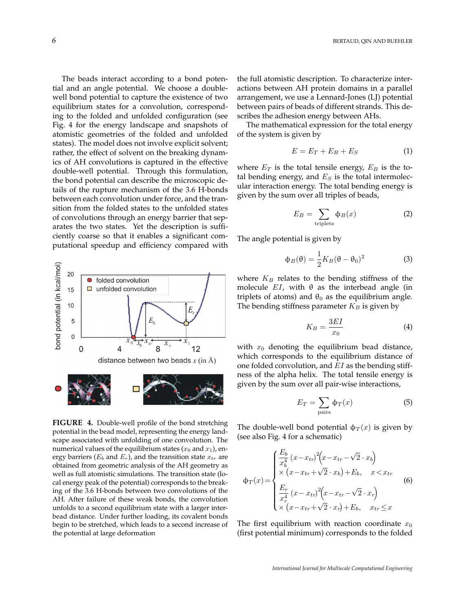The beads interact according to a bond potential and an angle potential. We choose a doublewell bond potential to capture the existence of two equilibrium states for a convolution, corresponding to the folded and unfolded configuration (see Fig. 4 for the energy landscape and snapshots of atomistic geometries of the folded and unfolded states). The model does not involve explicit solvent; rather, the effect of solvent on the breaking dynamics of AH convolutions is captured in the effective double-well potential. Through this formulation, the bond potential can describe the microscopic details of the rupture mechanism of the 3.6 H-bonds between each convolution under force, and the transition from the folded states to the unfolded states of convolutions through an energy barrier that separates the two states. Yet the description is sufficiently coarse so that it enables a significant computational speedup and efficiency compared with



**FIGURE 4.** Double-well profile of the bond stretching potential in the bead model, representing the energy landscape associated with unfolding of one convolution. The numerical values of the equilibrium states  $(x_0 \text{ and } x_1)$ , energy barriers ( $E_b$  and  $E_r$ ), and the transition state  $x_{tr}$  are obtained from geometric analysis of the AH geometry as well as full atomistic simulations. The transition state (local energy peak of the potential) corresponds to the breaking of the 3.6 H-bonds between two convolutions of the AH. After failure of these weak bonds, the convolution unfolds to a second equilibrium state with a larger interbead distance. Under further loading, its covalent bonds begin to be stretched, which leads to a second increase of the potential at large deformation

the full atomistic description. To characterize interactions between AH protein domains in a parallel arrangement, we use a Lennard-Jones (LJ) potential between pairs of beads of different strands. This describes the adhesion energy between AHs.

The mathematical expression for the total energy of the system is given by

$$
E = E_T + E_B + E_S \tag{1}
$$

where  $E_T$  is the total tensile energy,  $E_B$  is the total bending energy, and  $E<sub>S</sub>$  is the total intermolecular interaction energy. The total bending energy is given by the sum over all triples of beads,

$$
E_B = \sum_{\text{triplets}} \Phi_B(x) \tag{2}
$$

The angle potential is given by

$$
\Phi_B(\theta) = \frac{1}{2} K_B (\theta - \theta_0)^2
$$
 (3)

where  $K_B$  relates to the bending stiffness of the molecule  $EI$ , with  $\theta$  as the interbead angle (in triplets of atoms) and  $\theta_0$  as the equilibrium angle. The bending stiffness parameter  $K_B$  is given by

$$
K_B = \frac{3EI}{x_0} \tag{4}
$$

with  $x_0$  denoting the equilibrium bead distance, which corresponds to the equilibrium distance of one folded convolution, and  $EI$  as the bending stiffness of the alpha helix. The total tensile energy is given by the sum over all pair-wise interactions,

$$
E_T = \sum_{\text{pairs}} \Phi_T(x) \tag{5}
$$

The double-well bond potential  $\phi_T(x)$  is given by (see also Fig. 4 for a schematic)

$$
\Phi_T(x) = \begin{cases}\n\frac{E_b}{x_b^4} (x - x_{tr})^2 (x - x_{tr} - \sqrt{2} \cdot x_b) \\
\times (x - x_{tr} + \sqrt{2} \cdot x_b) + E_b, & x < x_{tr} \\
\frac{E_r}{x_r^4} (x - x_{tr})^2 (x - x_{tr} - \sqrt{2} \cdot x_r) \\
\times (x - x_{tr} + \sqrt{2} \cdot x_r) + E_b, & x_{tr} \le x\n\end{cases}
$$
\n(6)

The first equilibrium with reaction coordinate  $x_0$ (first potential minimum) corresponds to the folded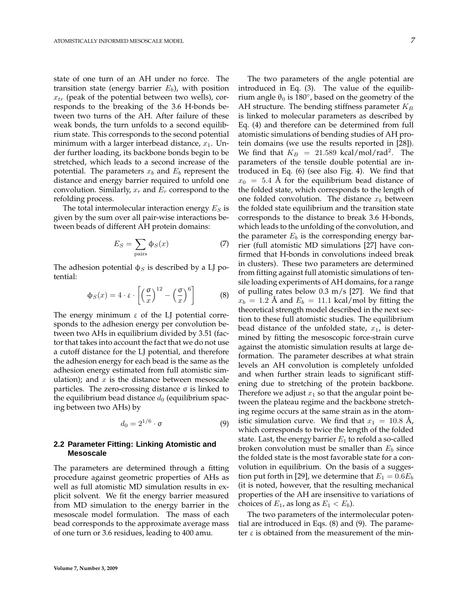state of one turn of an AH under no force. The transition state (energy barrier  $E_b$ ), with position  $x_{tr}$  (peak of the potential between two wells), corresponds to the breaking of the 3.6 H-bonds between two turns of the AH. After failure of these weak bonds, the turn unfolds to a second equilibrium state. This corresponds to the second potential minimum with a larger interbead distance,  $x_1$ . Under further loading, its backbone bonds begin to be stretched, which leads to a second increase of the potential. The parameters  $x_b$  and  $E_b$  represent the distance and energy barrier required to unfold one convolution. Similarly,  $x_r$  and  $E_r$  correspond to the refolding process.

The total intermolecular interaction energy  $E_S$  is given by the sum over all pair-wise interactions between beads of different AH protein domains:

$$
E_S = \sum_{\text{pairs}} \Phi_S(x) \tag{7}
$$

The adhesion potential  $\phi_S$  is described by a LJ potential:

$$
\Phi_S(x) = 4 \cdot \varepsilon \cdot \left[ \left( \frac{\sigma}{x} \right)^{12} - \left( \frac{\sigma}{x} \right)^6 \right] \tag{8}
$$

The energy minimum  $\varepsilon$  of the LJ potential corresponds to the adhesion energy per convolution between two AHs in equilibrium divided by 3.51 (factor that takes into account the fact that we do not use a cutoff distance for the LJ potential, and therefore the adhesion energy for each bead is the same as the adhesion energy estimated from full atomistic simulation); and  $x$  is the distance between mesoscale particles. The zero-crossing distance σ is linked to the equilibrium bead distance  $d_0$  (equilibrium spacing between two AHs) by

$$
d_0 = 2^{1/6} \cdot \sigma \tag{9}
$$

# **2.2 Parameter Fitting: Linking Atomistic and Mesoscale**

The parameters are determined through a fitting procedure against geometric properties of AHs as well as full atomistic MD simulation results in explicit solvent. We fit the energy barrier measured from MD simulation to the energy barrier in the mesoscale model formulation. The mass of each bead corresponds to the approximate average mass of one turn or 3.6 residues, leading to 400 amu.

The two parameters of the angle potential are introduced in Eq. (3). The value of the equilibrium angle  $\theta_0$  is 180°, based on the geometry of the AH structure. The bending stiffness parameter  $K_B$ is linked to molecular parameters as described by Eq. (4) and therefore can be determined from full atomistic simulations of bending studies of AH protein domains (we use the results reported in [28]). We find that  $K_B = 21.589$  kcal/mol/rad<sup>2</sup>. The parameters of the tensile double potential are introduced in Eq. (6) (see also Fig. 4). We find that  $x_0 = 5.4$  Å for the equilibrium bead distance of the folded state, which corresponds to the length of one folded convolution. The distance  $x_b$  between the folded state equilibrium and the transition state corresponds to the distance to break 3.6 H-bonds, which leads to the unfolding of the convolution, and the parameter  $E_b$  is the corresponding energy barrier (full atomistic MD simulations [27] have confirmed that H-bonds in convolutions indeed break in clusters). These two parameters are determined from fitting against full atomistic simulations of tensile loading experiments of AH domains, for a range of pulling rates below 0.3 m/s [27]. We find that  $x_b = 1.2$  Å and  $E_b = 11.1$  kcal/mol by fitting the theoretical strength model described in the next section to these full atomistic studies. The equilibrium bead distance of the unfolded state,  $x_1$ , is determined by fitting the mesoscopic force-strain curve against the atomistic simulation results at large deformation. The parameter describes at what strain levels an AH convolution is completely unfolded and when further strain leads to significant stiffening due to stretching of the protein backbone. Therefore we adjust  $x_1$  so that the angular point between the plateau regime and the backbone stretching regime occurs at the same strain as in the atomistic simulation curve. We find that  $x_1 = 10.8$  Å, which corresponds to twice the length of the folded state. Last, the energy barrier  $E_1$  to refold a so-called broken convolution must be smaller than  $E_b$  since the folded state is the most favorable state for a convolution in equilibrium. On the basis of a suggestion put forth in [29], we determine that  $E_1 = 0.6E_b$ (it is noted, however, that the resulting mechanical properties of the AH are insensitive to variations of choices of  $E_1$ , as long as  $E_1 < E_b$ ).

The two parameters of the intermolecular potential are introduced in Eqs. (8) and (9). The parameter  $ε$  is obtained from the measurement of the min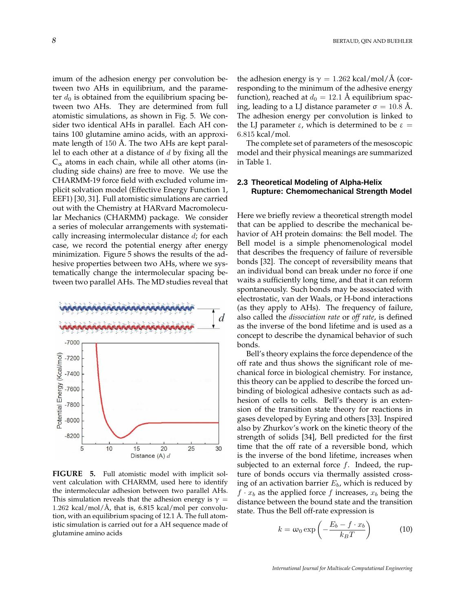imum of the adhesion energy per convolution between two AHs in equilibrium, and the parameter  $d_0$  is obtained from the equilibrium spacing between two AHs. They are determined from full atomistic simulations, as shown in Fig. 5. We consider two identical AHs in parallel. Each AH contains 100 glutamine amino acids, with an approximate length of  $150 \text{ Å}$ . The two AHs are kept parallel to each other at a distance of  $d$  by fixing all the  $C_{\alpha}$  atoms in each chain, while all other atoms (including side chains) are free to move. We use the CHARMM-19 force field with excluded volume implicit solvation model (Effective Energy Function 1, EEF1) [30, 31]. Full atomistic simulations are carried out with the Chemistry at HARvard Macromolecular Mechanics (CHARMM) package. We consider a series of molecular arrangements with systematically increasing intermolecular distance  $d_i$ ; for each case, we record the potential energy after energy minimization. Figure 5 shows the results of the adhesive properties between two AHs, where we systematically change the intermolecular spacing between two parallel AHs. The MD studies reveal that



**FIGURE 5.** Full atomistic model with implicit solvent calculation with CHARMM, used here to identify the intermolecular adhesion between two parallel AHs. This simulation reveals that the adhesion energy is  $\gamma =$ 1.262 kcal/mol/ $\AA$ , that is, 6.815 kcal/mol per convolution, with an equilibrium spacing of  $12.1$  Å. The full atomistic simulation is carried out for a AH sequence made of glutamine amino acids

the adhesion energy is  $\gamma = 1.262 \text{ kcal/mol/A (cor-}$ responding to the minimum of the adhesive energy function), reached at  $d_0 = 12.1$  Å equilibrium spacing, leading to a LJ distance parameter  $\sigma = 10.8$  Å. The adhesion energy per convolution is linked to the LJ parameter  $ε$ , which is determined to be  $ε =$ 6.815 kcal/mol.

The complete set of parameters of the mesoscopic model and their physical meanings are summarized in Table 1.

# **2.3 Theoretical Modeling of Alpha-Helix Rupture: Chemomechanical Strength Model**

Here we briefly review a theoretical strength model that can be applied to describe the mechanical behavior of AH protein domains: the Bell model. The Bell model is a simple phenomenological model that describes the frequency of failure of reversible bonds [32]. The concept of reversibility means that an individual bond can break under no force if one waits a sufficiently long time, and that it can reform spontaneously. Such bonds may be associated with electrostatic, van der Waals, or H-bond interactions (as they apply to AHs). The frequency of failure, also called the *dissociation rate* or *off rate*, is defined as the inverse of the bond lifetime and is used as a concept to describe the dynamical behavior of such bonds.

Bell's theory explains the force dependence of the off rate and thus shows the significant role of mechanical force in biological chemistry. For instance, this theory can be applied to describe the forced unbinding of biological adhesive contacts such as adhesion of cells to cells. Bell's theory is an extension of the transition state theory for reactions in gases developed by Eyring and others [33]. Inspired also by Zhurkov's work on the kinetic theory of the strength of solids [34], Bell predicted for the first time that the off rate of a reversible bond, which is the inverse of the bond lifetime, increases when subjected to an external force  $f$ . Indeed, the rupture of bonds occurs via thermally assisted crossing of an activation barrier  $E_b$ , which is reduced by  $f \cdot x_b$  as the applied force f increases,  $x_b$  being the distance between the bound state and the transition state. Thus the Bell off-rate expression is

$$
k = \omega_0 \exp\left(-\frac{E_b - f \cdot x_b}{k_B T}\right) \tag{10}
$$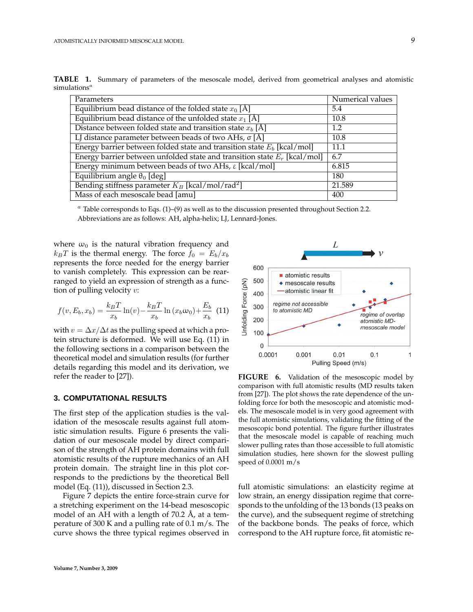| tions"                                                                      |                  |
|-----------------------------------------------------------------------------|------------------|
| Parameters                                                                  | Numerical values |
| Equilibrium bead distance of the folded state $x_0$ [Å]                     | 5.4              |
| Equilibrium bead distance of the unfolded state $x_1$ [Å]                   | 10.8             |
| Distance between folded state and transition state $x_b$ [Å]                | 1.2              |
| LJ distance parameter between beads of two AHs, $\sigma$ [Å]                | 10.8             |
| Energy barrier between folded state and transition state $E_b$ [kcal/mol]   | 11.1             |
| Energy barrier between unfolded state and transition state $E_r$ [kcal/mol] | 6.7              |
| Energy minimum between beads of two AHs, $\varepsilon$ [kcal/mol]           | 6.815            |
| Equilibrium angle $\theta_0$ [deg]                                          | 180              |

**TABLE 1.** Summary of parameters of the mesoscale model, derived from geometrical analyses and atomistic simulatio

 $a$  Table corresponds to Eqs. (1)–(9) as well as to the discussion presented throughout Section 2.2. Abbreviations are as follows: AH, alpha-helix; LJ, Lennard-Jones.

Mass of each mesoscale bead [amu] 400

where  $\omega_0$  is the natural vibration frequency and  $k_BT$  is the thermal energy. The force  $f_0 = E_b/x_b$ represents the force needed for the energy barrier to vanish completely. This expression can be rearranged to yield an expression of strength as a function of pulling velocity  $v$ :

Bending stiffness parameter  $K_B$  [kcal/mol/rad<sup>2</sup>

$$
f(v, E_b, x_b) = \frac{k_B T}{x_b} \ln(v) - \frac{k_B T}{x_b} \ln(x_b \omega_0) + \frac{E_b}{x_b}
$$
 (11)

with  $v = \Delta x / \Delta t$  as the pulling speed at which a protein structure is deformed. We will use Eq. (11) in the following sections in a comparison between the theoretical model and simulation results (for further details regarding this model and its derivation, we refer the reader to [27]).

#### **3. COMPUTATIONAL RESULTS**

The first step of the application studies is the validation of the mesoscale results against full atomistic simulation results. Figure 6 presents the validation of our mesoscale model by direct comparison of the strength of AH protein domains with full atomistic results of the rupture mechanics of an AH protein domain. The straight line in this plot corresponds to the predictions by the theoretical Bell model (Eq. (11)), discussed in Section 2.3.

Figure 7 depicts the entire force-strain curve for a stretching experiment on the 14-bead mesoscopic model of an AH with a length of  $70.2 \text{ Å}$ , at a temperature of 300 K and a pulling rate of 0.1 m/s. The curve shows the three typical regimes observed in



] 21.589

**FIGURE 6.** Validation of the mesoscopic model by comparison with full atomistic results (MD results taken from [27]). The plot shows the rate dependence of the unfolding force for both the mesoscopic and atomistic models. The mesoscale model is in very good agreement with the full atomistic simulations, validating the fitting of the mesoscopic bond potential. The figure further illustrates that the mesoscale model is capable of reaching much slower pulling rates than those accessible to full atomistic simulation studies, here shown for the slowest pulling speed of 0.0001 m/s

full atomistic simulations: an elasticity regime at low strain, an energy dissipation regime that corresponds to the unfolding of the 13 bonds (13 peaks on the curve), and the subsequent regime of stretching of the backbone bonds. The peaks of force, which correspond to the AH rupture force, fit atomistic re-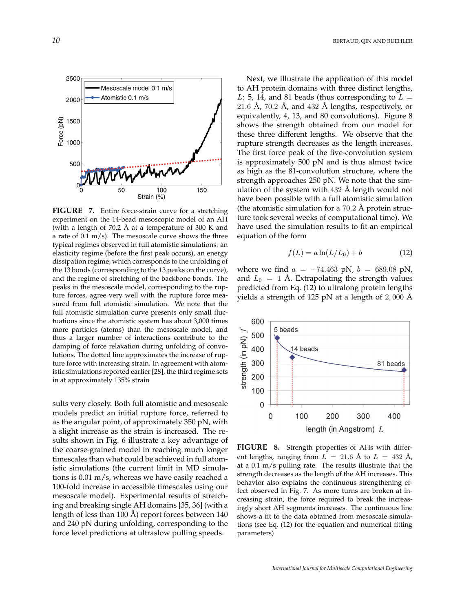

**FIGURE 7.** Entire force-strain curve for a stretching experiment on the 14-bead mesoscopic model of an AH (with a length of  $70.2$  Å at a temperature of  $300$  K and a rate of  $0.1 \text{ m/s}$ . The mesoscale curve shows the three typical regimes observed in full atomistic simulations: an elasticity regime (before the first peak occurs), an energy dissipation regime, which corresponds to the unfolding of the 13 bonds (corresponding to the 13 peaks on the curve), and the regime of stretching of the backbone bonds. The peaks in the mesoscale model, corresponding to the rupture forces, agree very well with the rupture force measured from full atomistic simulation. We note that the full atomistic simulation curve presents only small fluctuations since the atomistic system has about 3,000 times more particles (atoms) than the mesoscale model, and thus a larger number of interactions contribute to the damping of force relaxation during unfolding of convolutions. The dotted line approximates the increase of rupture force with increasing strain. In agreement with atomistic simulations reported earlier [28], the third regime sets in at approximately 135% strain

sults very closely. Both full atomistic and mesoscale models predict an initial rupture force, referred to as the angular point, of approximately 350 pN, with a slight increase as the strain is increased. The results shown in Fig. 6 illustrate a key advantage of the coarse-grained model in reaching much longer timescales than what could be achieved in full atomistic simulations (the current limit in MD simulations is 0.01 m/s, whereas we have easily reached a 100-fold increase in accessible timescales using our mesoscale model). Experimental results of stretching and breaking single AH domains [35, 36] (with a length of less than 100 Å) report forces between  $140$ and 240 pN during unfolding, corresponding to the force level predictions at ultraslow pulling speeds.

Next, we illustrate the application of this model to AH protein domains with three distinct lengths, L: 5, 14, and 81 beads (thus corresponding to  $L =$ 21.6 Å,  $70.2$  Å, and  $432$  Å lengths, respectively, or equivalently, 4, 13, and 80 convolutions). Figure 8 shows the strength obtained from our model for these three different lengths. We observe that the rupture strength decreases as the length increases. The first force peak of the five-convolution system is approximately 500 pN and is thus almost twice as high as the 81-convolution structure, where the strength approaches 250 pN. We note that the simulation of the system with  $432$  Å length would not have been possible with a full atomistic simulation (the atomistic simulation for a  $70.2 \text{ Å}$  protein structure took several weeks of computational time). We have used the simulation results to fit an empirical equation of the form

$$
f(L) = a \ln(L/L_0) + b \tag{12}
$$

where we find  $a = -74.463$  pN,  $b = 689.08$  pN, and  $L_0 = 1$  Å. Extrapolating the strength values predicted from Eq. (12) to ultralong protein lengths yields a strength of 125 pN at a length of  $2,000 \text{ Å}$ 



**FIGURE 8.** Strength properties of AHs with different lengths, ranging from  $L = 21.6$  Å to  $L = 432$  Å, at a 0.1 m/s pulling rate. The results illustrate that the strength decreases as the length of the AH increases. This behavior also explains the continuous strengthening effect observed in Fig. 7. As more turns are broken at increasing strain, the force required to break the increasingly short AH segments increases. The continuous line shows a fit to the data obtained from mesoscale simulations (see Eq. (12) for the equation and numerical fitting parameters)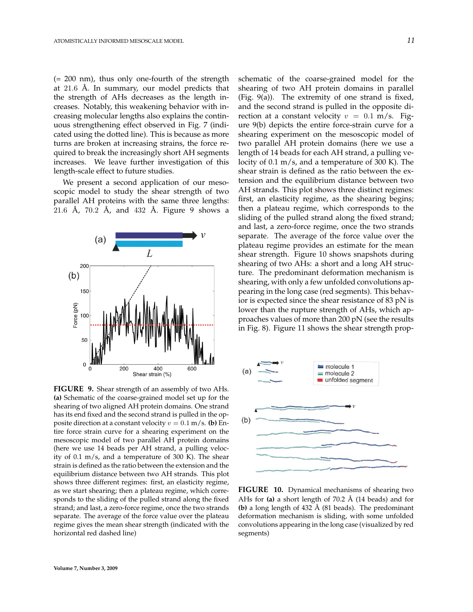(= 200 nm), thus only one-fourth of the strength at  $21.6$  Å. In summary, our model predicts that the strength of AHs decreases as the length increases. Notably, this weakening behavior with increasing molecular lengths also explains the continuous strengthening effect observed in Fig. 7 (indicated using the dotted line). This is because as more turns are broken at increasing strains, the force required to break the increasingly short AH segments increases. We leave further investigation of this length-scale effect to future studies.

We present a second application of our mesoscopic model to study the shear strength of two parallel AH proteins with the same three lengths:  $21.6$  Å,  $70.2$  Å, and  $432$  Å. Figure 9 shows a



**FIGURE 9.** Shear strength of an assembly of two AHs. **(a)** Schematic of the coarse-grained model set up for the shearing of two aligned AH protein domains. One strand has its end fixed and the second strand is pulled in the opposite direction at a constant velocity  $v = 0.1$  m/s. **(b)** Entire force strain curve for a shearing experiment on the mesoscopic model of two parallel AH protein domains (here we use 14 beads per AH strand, a pulling velocity of 0.1 m/s, and a temperature of 300 K). The shear strain is defined as the ratio between the extension and the equilibrium distance between two AH strands. This plot shows three different regimes: first, an elasticity regime, as we start shearing; then a plateau regime, which corresponds to the sliding of the pulled strand along the fixed strand; and last, a zero-force regime, once the two strands separate. The average of the force value over the plateau regime gives the mean shear strength (indicated with the horizontal red dashed line)

schematic of the coarse-grained model for the shearing of two AH protein domains in parallel (Fig. 9(a)). The extremity of one strand is fixed, and the second strand is pulled in the opposite direction at a constant velocity  $v = 0.1$  m/s. Figure 9(b) depicts the entire force-strain curve for a shearing experiment on the mesoscopic model of two parallel AH protein domains (here we use a length of 14 beads for each AH strand, a pulling velocity of 0.1 m/s, and a temperature of 300 K). The shear strain is defined as the ratio between the extension and the equilibrium distance between two AH strands. This plot shows three distinct regimes: first, an elasticity regime, as the shearing begins; then a plateau regime, which corresponds to the sliding of the pulled strand along the fixed strand; and last, a zero-force regime, once the two strands separate. The average of the force value over the plateau regime provides an estimate for the mean shear strength. Figure 10 shows snapshots during shearing of two AHs: a short and a long AH structure. The predominant deformation mechanism is shearing, with only a few unfolded convolutions appearing in the long case (red segments). This behavior is expected since the shear resistance of 83 pN is lower than the rupture strength of AHs, which approaches values of more than 200 pN (see the results in Fig. 8). Figure 11 shows the shear strength prop-



**FIGURE 10.** Dynamical mechanisms of shearing two AHs for  $(a)$  a short length of 70.2 Å  $(14 \text{ beads})$  and for **(b)** a long length of  $432 \text{ Å}$  (81 beads). The predominant deformation mechanism is sliding, with some unfolded convolutions appearing in the long case (visualized by red segments)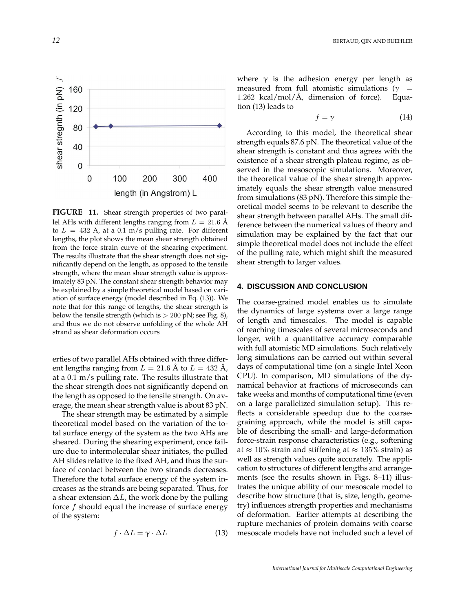

FIGURE 11. Shear strength properties of two parallel AHs with different lengths ranging from  $L = 21.6$  Å to  $L = 432 \text{ Å}$ , at a 0.1 m/s pulling rate. For different lengths, the plot shows the mean shear strength obtained from the force strain curve of the shearing experiment. The results illustrate that the shear strength does not significantly depend on the length, as opposed to the tensile strength, where the mean shear strength value is approximately 83 pN. The constant shear strength behavior may be explained by a simple theoretical model based on variation of surface energy (model described in Eq. (13)). We note that for this range of lengths, the shear strength is below the tensile strength (which is  $> 200$  pN; see Fig. 8), and thus we do not observe unfolding of the whole AH strand as shear deformation occurs

erties of two parallel AHs obtained with three different lengths ranging from  $L = 21.6$  Å to  $L = 432$  Å, at a 0.1 m/s pulling rate. The results illustrate that the shear strength does not significantly depend on the length as opposed to the tensile strength. On average, the mean shear strength value is about 83 pN.

The shear strength may be estimated by a simple theoretical model based on the variation of the total surface energy of the system as the two AHs are sheared. During the shearing experiment, once failure due to intermolecular shear initiates, the pulled AH slides relative to the fixed AH, and thus the surface of contact between the two strands decreases. Therefore the total surface energy of the system increases as the strands are being separated. Thus, for a shear extension  $\Delta L$ , the work done by the pulling force  $f$  should equal the increase of surface energy of the system:

$$
f \cdot \Delta L = \gamma \cdot \Delta L \tag{13}
$$

where  $\gamma$  is the adhesion energy per length as measured from full atomistic simulations ( $\gamma$  = 1.262 kcal/mol/Å, dimension of force). Equation (13) leads to

$$
f = \gamma \tag{14}
$$

According to this model, the theoretical shear strength equals 87.6 pN. The theoretical value of the shear strength is constant and thus agrees with the existence of a shear strength plateau regime, as observed in the mesoscopic simulations. Moreover, the theoretical value of the shear strength approximately equals the shear strength value measured from simulations (83 pN). Therefore this simple theoretical model seems to be relevant to describe the shear strength between parallel AHs. The small difference between the numerical values of theory and simulation may be explained by the fact that our simple theoretical model does not include the effect of the pulling rate, which might shift the measured shear strength to larger values.

#### **4. DISCUSSION AND CONCLUSION**

The coarse-grained model enables us to simulate the dynamics of large systems over a large range of length and timescales. The model is capable of reaching timescales of several microseconds and longer, with a quantitative accuracy comparable with full atomistic MD simulations. Such relatively long simulations can be carried out within several days of computational time (on a single Intel Xeon CPU). In comparison, MD simulations of the dynamical behavior at fractions of microseconds can take weeks and months of computational time (even on a large parallelized simulation setup). This reflects a considerable speedup due to the coarsegraining approach, while the model is still capable of describing the small- and large-deformation force-strain response characteristics (e.g., softening at  $\approx$  10% strain and stiffening at  $\approx$  135% strain) as well as strength values quite accurately. The application to structures of different lengths and arrangements (see the results shown in Figs. 8–11) illustrates the unique ability of our mesoscale model to describe how structure (that is, size, length, geometry) influences strength properties and mechanisms of deformation. Earlier attempts at describing the rupture mechanics of protein domains with coarse mesoscale models have not included such a level of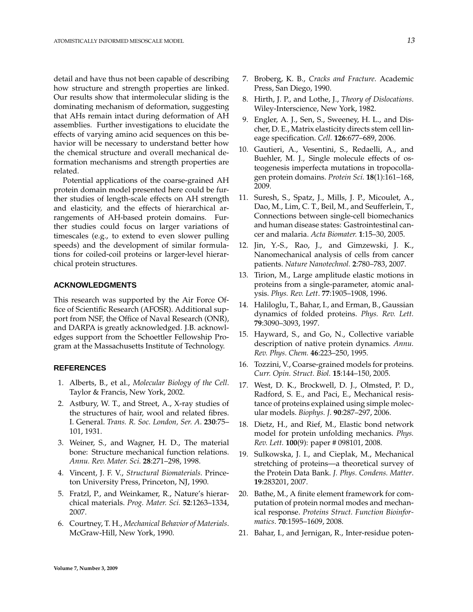detail and have thus not been capable of describing how structure and strength properties are linked. Our results show that intermolecular sliding is the dominating mechanism of deformation, suggesting that AHs remain intact during deformation of AH assemblies. Further investigations to elucidate the effects of varying amino acid sequences on this behavior will be necessary to understand better how the chemical structure and overall mechanical deformation mechanisms and strength properties are related.

Potential applications of the coarse-grained AH protein domain model presented here could be further studies of length-scale effects on AH strength and elasticity, and the effects of hierarchical arrangements of AH-based protein domains. Further studies could focus on larger variations of timescales (e.g., to extend to even slower pulling speeds) and the development of similar formulations for coiled-coil proteins or larger-level hierarchical protein structures.

#### **ACKNOWLEDGMENTS**

This research was supported by the Air Force Office of Scientific Research (AFOSR). Additional support from NSF, the Office of Naval Research (ONR), and DARPA is greatly acknowledged. J.B. acknowledges support from the Schoettler Fellowship Program at the Massachusetts Institute of Technology.

#### **REFERENCES**

- 1. Alberts, B., et al., *Molecular Biology of the Cell*. Taylor & Francis, New York, 2002.
- 2. Astbury, W. T., and Street, A., X-ray studies of the structures of hair, wool and related fibres. I. General. *Trans. R. Soc. London, Ser. A*. **230**:75– 101, 1931.
- 3. Weiner, S., and Wagner, H. D., The material bone: Structure mechanical function relations. *Annu. Rev. Mater. Sci.* **28**:271–298, 1998.
- 4. Vincent, J. F. V., *Structural Biomaterials*. Princeton University Press, Princeton, NJ, 1990.
- 5. Fratzl, P., and Weinkamer, R., Nature's hierarchical materials. *Prog. Mater. Sci.* **52**:1263–1334, 2007.
- 6. Courtney, T. H., *Mechanical Behavior of Materials*. McGraw-Hill, New York, 1990.
- 7. Broberg, K. B., *Cracks and Fracture*. Academic Press, San Diego, 1990.
- 8. Hirth, J. P., and Lothe, J., *Theory of Dislocations*. Wiley-Interscience, New York, 1982.
- 9. Engler, A. J., Sen, S., Sweeney, H. L., and Discher, D. E., Matrix elasticity directs stem cell lineage specification. *Cell.* **126**:677–689, 2006.
- 10. Gautieri, A., Vesentini, S., Redaelli, A., and Buehler, M. J., Single molecule effects of osteogenesis imperfecta mutations in tropocollagen protein domains. *Protein Sci.* **18**(1):161–168, 2009.
- 11. Suresh, S., Spatz, J., Mills, J. P., Micoulet, A., Dao, M., Lim, C. T., Beil, M., and Seufferlein, T., Connections between single-cell biomechanics and human disease states: Gastrointestinal cancer and malaria. *Acta Biomater.* **1**:15–30, 2005.
- 12. Jin, Y.-S., Rao, J., and Gimzewski, J. K., Nanomechanical analysis of cells from cancer patients. *Nature Nanotechnol.* **2**:780–783, 2007.
- 13. Tirion, M., Large amplitude elastic motions in proteins from a single-parameter, atomic analysis. *Phys. Rev. Lett*. **77**:1905–1908, 1996.
- 14. Haliloglu, T., Bahar, I., and Erman, B., Gaussian dynamics of folded proteins. *Phys. Rev. Lett.* **79**:3090–3093, 1997.
- 15. Hayward, S., and Go, N., Collective variable description of native protein dynamics. *Annu. Rev. Phys. Chem.* **46**:223–250, 1995.
- 16. Tozzini, V., Coarse-grained models for proteins. *Curr. Opin. Struct. Biol.* **15**:144–150, 2005.
- 17. West, D. K., Brockwell, D. J., Olmsted, P. D., Radford, S. E., and Paci, E., Mechanical resistance of proteins explained using simple molecular models. *Biophys. J*. **90**:287–297, 2006.
- 18. Dietz, H., and Rief, M., Elastic bond network model for protein unfolding mechanics. *Phys. Rev. Lett.* **100**(9): paper # 098101, 2008.
- 19. Sulkowska, J. I., and Cieplak, M., Mechanical stretching of proteins—a theoretical survey of the Protein Data Bank. *J. Phys. Condens. Matter*. **19**:283201, 2007.
- 20. Bathe, M., A finite element framework for computation of protein normal modes and mechanical response. *Proteins Struct. Function Bioinformatics*. **70**:1595–1609, 2008.
- 21. Bahar, I., and Jernigan, R., Inter-residue poten-